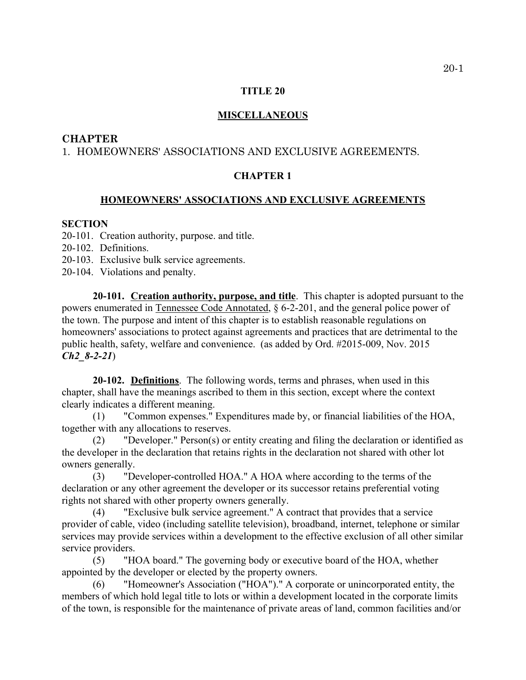## **TITLE 20**

### **MISCELLANEOUS**

## **CHAPTER**

# 1. HOMEOWNERS' ASSOCIATIONS AND EXCLUSIVE AGREEMENTS.

# **CHAPTER 1**

### **HOMEOWNERS' ASSOCIATIONS AND EXCLUSIVE AGREEMENTS**

#### **SECTION**

20-101. Creation authority, purpose. and title.

- 20-102. Definitions.
- 20-103. Exclusive bulk service agreements.
- 20-104. Violations and penalty.

**20-101. Creation authority, purpose, and title**. This chapter is adopted pursuant to the powers enumerated in Tennessee Code Annotated, § 6-2-201, and the general police power of the town. The purpose and intent of this chapter is to establish reasonable regulations on homeowners' associations to protect against agreements and practices that are detrimental to the public health, safety, welfare and convenience. (as added by Ord. #2015-009, Nov. 2015 *Ch2\_8-2-21*)

**20-102. Definitions**. The following words, terms and phrases, when used in this chapter, shall have the meanings ascribed to them in this section, except where the context clearly indicates a different meaning.

(1) "Common expenses." Expenditures made by, or financial liabilities of the HOA, together with any allocations to reserves.

(2) "Developer." Person(s) or entity creating and filing the declaration or identified as the developer in the declaration that retains rights in the declaration not shared with other lot owners generally.

(3) "Developer-controlled HOA." A HOA where according to the terms of the declaration or any other agreement the developer or its successor retains preferential voting rights not shared with other property owners generally.

(4) "Exclusive bulk service agreement." A contract that provides that a service provider of cable, video (including satellite television), broadband, internet, telephone or similar services may provide services within a development to the effective exclusion of all other similar service providers.

(5) "HOA board." The governing body or executive board of the HOA, whether appointed by the developer or elected by the property owners.

(6) "Homeowner's Association ("HOA")." A corporate or unincorporated entity, the members of which hold legal title to lots or within a development located in the corporate limits of the town, is responsible for the maintenance of private areas of land, common facilities and/or